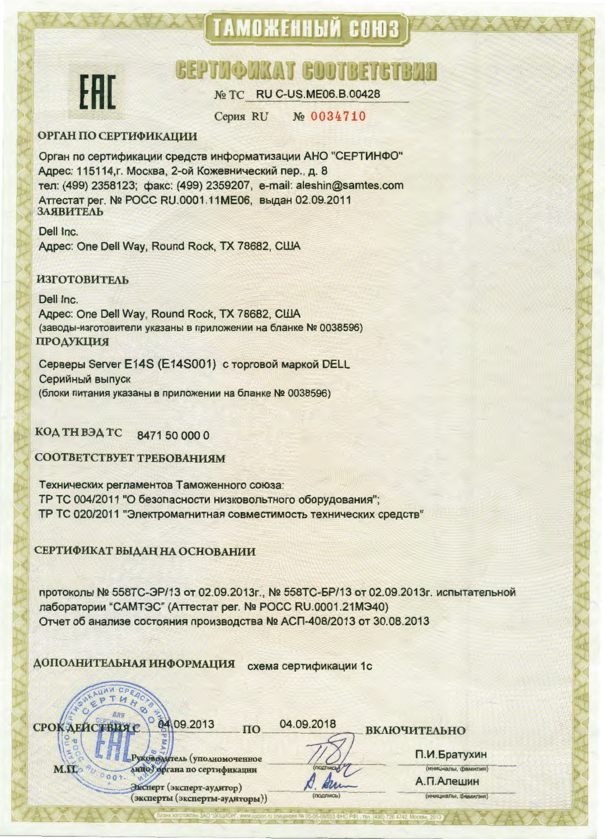## ТАМОЖЕННЫЙ СОЮЗ



### **GEPTWORKAT GOOTBETGTBVH**

№ TC RU C-US.ME06.B.00428

No 0034710 **Серия RU** 

#### **ОРГАН ПО СЕРТИФИКАЦИИ**

Орган по сертификации средств информатизации АНО "СЕРТИНФО" Адрес: 115114, г. Москва, 2-ой Кожевнический пер., д. 8 тел: (499) 2358123; факс: (499) 2359207, e-mail: aleshin@samtes.com Аттестат рег. № РОСС RU.0001.11МЕ06, выдан 02.09.2011 ЗАЯВИТЕЛЬ

Dell Inc. Agpec: One Dell Way, Round Rock, TX 78682, CILIA

#### **ИЗГОТОВИТЕЛЬ**

Dell Inc. Agpec: One Dell Way, Round Rock, TX 78682, CIJIA (заводы-изготовители указаны в приложении на бланке № 0038596) **ПРОДУКЦИЯ** 

Серверы Server E14S (E14S001) с торговой маркой DELL Серийный выпуск (блоки питания указаны в приложении на бланке № 0038596)

КОД ТН ВЭД ТС 8471 50 000 0

СООТВЕТСТВУЕТ ТРЕБОВАНИЯМ

Технических регламентов Таможенного союза: ТР ТС 004/2011 "О безопасности низковольтного оборудования"; ТР ТС 020/2011 "Электромагнитная совместимость технических средств"

#### СЕРТИФИКАТ ВЫДАН НА ОСНОВАНИИ

протоколы № 558ТС-ЭР/13 от 02.09.2013г., № 558ТС-БР/13 от 02.09.2013г. испытательной лаборатории "САМТЭС" (Аттестат рег. № РОСС RU.0001.21МЭ40) Отчет об анализе состояния производства № АСП-408/2013 от 30.08.2013

 $\Pi$ <sup>O</sup>

ДОПОЛНИТЕЛЬНАЯ ИНФОРМАЦИЯ схема сертификации 1с

| Твия с 0 04 09.2013 |  |
|---------------------|--|
|                     |  |

**СРОКАЕЙ** 

M.IL

04.09.2018

Ma

уководитель (уполномоченное анно) органа по сертификации  $0001$ 

> Эксперт (эксперт-аудитор) (эксперты (эксперты-аудиторы))

**ВКЛЮЧИТЕЛЬНО** 

П.И.Братухин

(инициалы, фамилия) А.П.Алешин

(инициалы, фамилия)